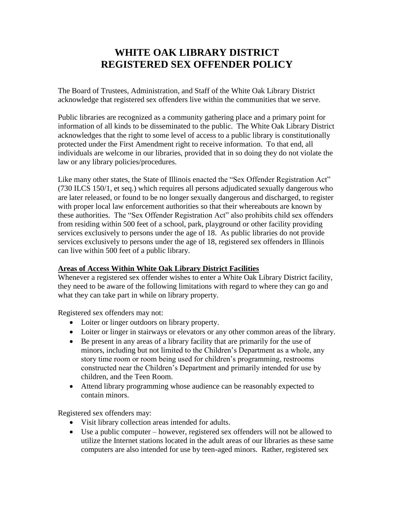## **WHITE OAK LIBRARY DISTRICT REGISTERED SEX OFFENDER POLICY**

The Board of Trustees, Administration, and Staff of the White Oak Library District acknowledge that registered sex offenders live within the communities that we serve.

Public libraries are recognized as a community gathering place and a primary point for information of all kinds to be disseminated to the public. The White Oak Library District acknowledges that the right to some level of access to a public library is constitutionally protected under the First Amendment right to receive information. To that end, all individuals are welcome in our libraries, provided that in so doing they do not violate the law or any library policies/procedures.

Like many other states, the State of Illinois enacted the "Sex Offender Registration Act" (730 ILCS 150/1, et seq.) which requires all persons adjudicated sexually dangerous who are later released, or found to be no longer sexually dangerous and discharged, to register with proper local law enforcement authorities so that their whereabouts are known by these authorities. The "Sex Offender Registration Act" also prohibits child sex offenders from residing within 500 feet of a school, park, playground or other facility providing services exclusively to persons under the age of 18. As public libraries do not provide services exclusively to persons under the age of 18, registered sex offenders in Illinois can live within 500 feet of a public library.

## **Areas of Access Within White Oak Library District Facilities**

Whenever a registered sex offender wishes to enter a White Oak Library District facility, they need to be aware of the following limitations with regard to where they can go and what they can take part in while on library property.

Registered sex offenders may not:

- Loiter or linger outdoors on library property.
- Loiter or linger in stairways or elevators or any other common areas of the library.
- Be present in any areas of a library facility that are primarily for the use of minors, including but not limited to the Children's Department as a whole, any story time room or room being used for children's programming, restrooms constructed near the Children's Department and primarily intended for use by children, and the Teen Room.
- Attend library programming whose audience can be reasonably expected to contain minors.

Registered sex offenders may:

- Visit library collection areas intended for adults.
- Use a public computer however, registered sex offenders will not be allowed to utilize the Internet stations located in the adult areas of our libraries as these same computers are also intended for use by teen-aged minors. Rather, registered sex